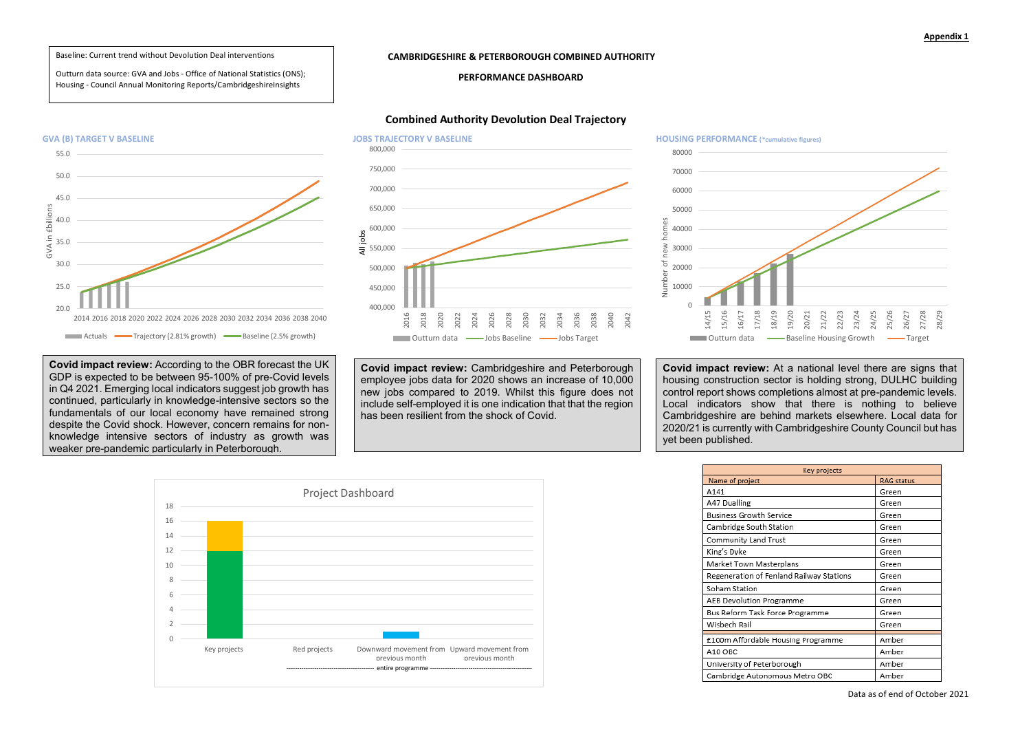## **Appendix 1**

## **CAMBRIDGESHIRE & PETERBOROUGH COMBINED AUTHORITY**

## **PERFORMANCE DASHBOARD**

## **Combined Authority Devolution Deal Trajectory**



80000 70000 60000 50000 Number of new homes anme 40000 **N** 30000 ď 20000 Number 10000  $\cap$ 15/16 17/18 18/19 16/17  $-4/1$ 





| Key projects         |            |
|----------------------|------------|
|                      | RAG status |
|                      | Green      |
|                      | Green      |
| vice                 | Green      |
| ition                | Green      |
| ıst                  | Green      |
|                      | Green      |
| rplans               | Green      |
| and Railway Stations | Green      |
|                      | Green      |
| ramme                | Green      |
| ce Programme         | Green      |
|                      | Green      |
| ousing Programme     | Amber      |
|                      | Amber      |
| orough               | Amber      |
| ous Metro OBC        | Amber      |
|                      |            |

**Covid impact review:** At a national level there are signs that housing construction sector is holding strong, DULHC building control report shows completions almost at pre-pandemic levels. Local indicators show that there is nothing to believe Cambridgeshire are behind markets elsewhere. Local data for 2020/21 is currently with Cambridgeshire County Council but has yet been published.

**Covid impact review:** Cambridgeshire and Peterborough employee jobs data for 2020 shows an increase of 10,000 new jobs compared to 2019. Whilst this figure does not include self-employed it is one indication that that the region has been resilient from the shock of Covid.

**Covid impact review:** According to the OBR forecast the UK GDP is expected to be between 95-100% of pre-Covid levels in Q4 2021. Emerging local indicators suggest job growth has continued, particularly in knowledge-intensive sectors so the fundamentals of our local economy have remained strong despite the Covid shock. However, concern remains for nonknowledge intensive sectors of industry as growth was weaker pre-pandemic particularly in Peterborough.

Baseline: Current trend without Devolution Deal interventions

Outturn data source: GVA and Jobs - Office of National Statistics (ONS); Housing - Council Annual Monitoring Reports/CambridgeshireInsights